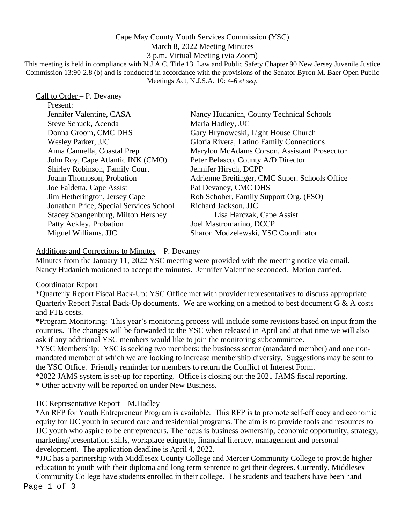## Cape May County Youth Services Commission (YSC) March 8, 2022 Meeting Minutes 3 p.m. Virtual Meeting (via Zoom)

This meeting is held in compliance with N.J.A.C. Title 13. Law and Public Safety Chapter 90 New Jersey Juvenile Justice Commission 13:90-2.8 (b) and is conducted in accordance with the provisions of the Senator Byron M. Baer Open Public Meetings Act, N.J.S.A. 10: 4-6 *et seq*.

# Call to Order – P. Devaney

| Present:                                  |                                                |  |
|-------------------------------------------|------------------------------------------------|--|
| Jennifer Valentine, CASA                  | Nancy Hudanich, County Technical Schools       |  |
| Steve Schuck, Acenda                      | Maria Hadley, JJC                              |  |
| Donna Groom, CMC DHS                      | Gary Hrynoweski, Light House Church            |  |
| <b>Wesley Parker, JJC</b>                 | Gloria Rivera, Latino Family Connections       |  |
| Anna Cannella, Coastal Prep               | Marylou McAdams Corson, Assistant Prosecutor   |  |
| John Roy, Cape Atlantic INK (CMO)         | Peter Belasco, County A/D Director             |  |
| Shirley Robinson, Family Court            | Jennifer Hirsch, DCPP                          |  |
| Joann Thompson, Probation                 | Adrienne Breitinger, CMC Super. Schools Office |  |
| Joe Faldetta, Cape Assist                 | Pat Devaney, CMC DHS                           |  |
| Jim Hetherington, Jersey Cape             | Rob Schober, Family Support Org. (FSO)         |  |
| Jonathan Price, Special Services School   | Richard Jackson, JJC                           |  |
| <b>Stacey Spangenburg, Milton Hershey</b> | Lisa Harczak, Cape Assist                      |  |
| Patty Ackley, Probation                   | Joel Mastromarino, DCCP                        |  |
| Miguel Williams, JJC                      | Sharon Modzelewski, YSC Coordinator            |  |

#### Additions and Corrections to Minutes – P. Devaney

 Minutes from the January 11, 2022 YSC meeting were provided with the meeting notice via email. Nancy Hudanich motioned to accept the minutes. Jennifer Valentine seconded. Motion carried.

## Coordinator Report

\*Quarterly Report Fiscal Back-Up: YSC Office met with provider representatives to discuss appropriate Quarterly Report Fiscal Back-Up documents. We are working on a method to best document G & A costs and FTE costs.

**\***Program Monitoring:This year's monitoring process will include some revisions based on input from the counties. The changes will be forwarded to the YSC when released in April and at that time we will also ask if any additional YSC members would like to join the monitoring subcommittee.

\*YSC Membership: YSC is seeking two members: the business sector (mandated member) and one nonmandated member of which we are looking to increase membership diversity. Suggestions may be sent to the YSC Office. Friendly reminder for members to return the Conflict of Interest Form.

\*2022 JAMS system is set-up for reporting. Office is closing out the 2021 JAMS fiscal reporting.

\* Other activity will be reported on under New Business.

## JJC Representative Report – M.Hadley

\*An RFP for Youth Entrepreneur Program is available. This RFP is to promote self-efficacy and economic equity for JJC youth in secured care and residential programs. The aim is to provide tools and resources to JJC youth who aspire to be entrepreneurs. The focus is business ownership, economic opportunity, strategy, marketing/presentation skills, workplace etiquette, financial literacy, management and personal development. The application deadline is April 4, 2022.

\*JJC has a partnership with Middlesex County College and Mercer Community College to provide higher education to youth with their diploma and long term sentence to get their degrees. Currently, Middlesex

Page 1 of 3 Community College have students enrolled in their college. The students and teachers have been hand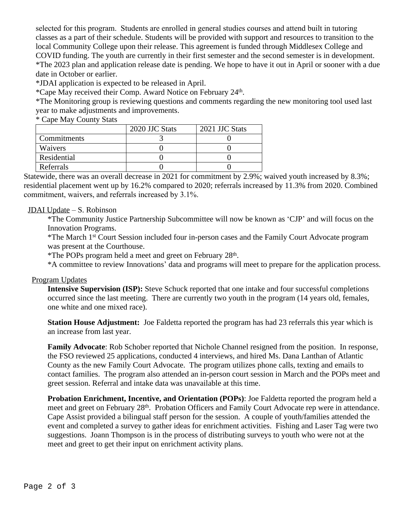selected for this program. Students are enrolled in general studies courses and attend built in tutoring classes as a part of their schedule. Students will be provided with support and resources to transition to the local Community College upon their release. This agreement is funded through Middlesex College and COVID funding. The youth are currently in their first semester and the second semester is in development. \*The 2023 plan and application release date is pending. We hope to have it out in April or sooner with a due date in October or earlier.

\*JDAI application is expected to be released in April.

\*Cape May received their Comp. Award Notice on February 24th .

\*The Monitoring group is reviewing questions and comments regarding the new monitoring tool used last year to make adjustments and improvements.

\* Cape May County Stats

|             | 2020 JJC Stats | 2021 JJC Stats |
|-------------|----------------|----------------|
| Commitments |                |                |
| Waivers     |                |                |
| Residential |                |                |
| Referrals   |                |                |

Statewide, there was an overall decrease in 2021 for commitment by 2.9%; waived youth increased by 8.3%; residential placement went up by 16.2% compared to 2020; referrals increased by 11.3% from 2020. Combined commitment, waivers, and referrals increased by 3.1%.

#### JDAI Update – S. Robinson

\*The Community Justice Partnership Subcommittee will now be known as 'CJP' and will focus on the Innovation Programs.

\*The March 1st Court Session included four in-person cases and the Family Court Advocate program was present at the Courthouse.

\*The POPs program held a meet and greet on February 28th .

\*A committee to review Innovations' data and programs will meet to prepare for the application process.

#### Program Updates

**Intensive Supervision (ISP):** Steve Schuck reported that one intake and four successful completions occurred since the last meeting. There are currently two youth in the program (14 years old, females, one white and one mixed race).

**Station House Adjustment:** Joe Faldetta reported the program has had 23 referrals this year which is an increase from last year.

**Family Advocate**: Rob Schober reported that Nichole Channel resigned from the position. In response, the FSO reviewed 25 applications, conducted 4 interviews, and hired Ms. Dana Lanthan of Atlantic County as the new Family Court Advocate. The program utilizes phone calls, texting and emails to contact families. The program also attended an in-person court session in March and the POPs meet and greet session. Referral and intake data was unavailable at this time.

**Probation Enrichment, Incentive, and Orientation (POPs)**: Joe Faldetta reported the program held a meet and greet on February 28<sup>th</sup>. Probation Officers and Family Court Advocate rep were in attendance. Cape Assist provided a bilingual staff person for the session. A couple of youth/families attended the event and completed a survey to gather ideas for enrichment activities. Fishing and Laser Tag were two suggestions. Joann Thompson is in the process of distributing surveys to youth who were not at the meet and greet to get their input on enrichment activity plans.